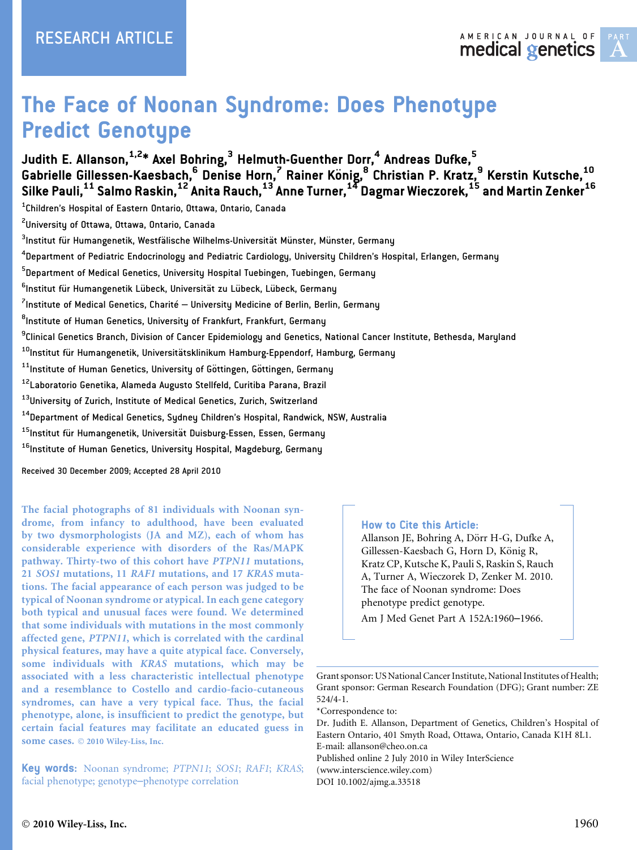

# The Face of Noonan Syndrome: Does Phenotype Predict Genotype

# Judith E. Allanson, $^{1,2*}$  Axel Bohring, $^3$  Helmuth-Guenther Dorr, $^4$  Andreas Dufke, $^5$ Gabrielle Gillessen-Kaesbach, $^6$  Denise Horn, $^7$  Rainer König, $^8$  Christian P. Kratz, $^9$  Kerstin Kutsche, $^{10}$ Silke Pauli, $^{11}$  Salmo Raskin, $^{12}$  Anita Rauch, $^{13}$  Anne Turner, $^{14}$  Dagmar Wieczorek, $^{15}$  and Martin Zenker $^{16}$

 $^{\rm 1}$ Children's Hospital of Eastern Ontario, Ottawa, Ontario, Canada

 $^{2}$ University of Ottawa, Ottawa, Ontario, Canada

 $^3$ Institut für Humangenetik, Westfälische Wilhelms-Universität Münster, Münster, Germany

<sup>4</sup>Department of Pediatric Endocrinology and Pediatric Cardiology, University Children's Hospital, Erlangen, Germany

<sup>5</sup>Department of Medical Genetics, University Hospital Tuebingen, Tuebingen, Germany

<sup>6</sup>lnstitut für Humangenetik Lübeck, Universität zu Lübeck, Lübeck, Germany

 $^7$ Institute of Medical Genetics, Charité — University Medicine of Berlin, Berlin, Germany

 $^{\rm 8}$ Institute of Human Genetics, University of Frankfurt, Frankfurt, Germany

<sup>9</sup>Clinical Genetics Branch, Division of Cancer Epidemiology and Genetics, National Cancer Institute, Bethesda, Maryland

<sup>10</sup>Institut für Humangenetik, Universitätsklinikum Hamburg-Eppendorf, Hamburg, Germany

<sup>11</sup>Institute of Human Genetics, University of Göttingen, Göttingen, Germany

12Laboratorio Genetika, Alameda Augusto Stellfeld, Curitiba Parana, Brazil

<sup>13</sup>University of Zurich, Institute of Medical Genetics, Zurich, Switzerland

<sup>14</sup>Department of Medical Genetics, Sydney Children's Hospital, Randwick, NSW, Australia

<sup>15</sup>Institut für Humangenetik, Universität Duisburg-Essen, Essen, Germany

<sup>16</sup>Institute of Human Genetics, University Hospital, Magdeburg, Germany

Received 30 December 2009; Accepted 28 April 2010

The facial photographs of 81 individuals with Noonan syndrome, from infancy to adulthood, have been evaluated by two dysmorphologists (JA and MZ), each of whom has considerable experience with disorders of the Ras/MAPK pathway. Thirty-two of this cohort have PTPN11 mutations, 21 SOS1 mutations, 11 RAF1 mutations, and 17 KRAS mutations. The facial appearance of each person was judged to be typical of Noonan syndrome or atypical. In each gene category both typical and unusual faces were found. We determined that some individuals with mutations in the most commonly affected gene, PTPN11, which is correlated with the cardinal physical features, may have a quite atypical face. Conversely, some individuals with KRAS mutations, which may be associated with a less characteristic intellectual phenotype and a resemblance to Costello and cardio-facio-cutaneous syndromes, can have a very typical face. Thus, the facial phenotype, alone, is insufficient to predict the genotype, but certain facial features may facilitate an educated guess in some cases.  $© 2010 Wiley-Liss, Inc.$ 

Key words: Noonan syndrome; PTPN11; SOS1; RAF1; KRAS; facial phenotype; genotype–phenotype correlation

#### How to Cite this Article:

Allanson JE, Bohring A, Dörr H-G, Dufke A, Gillessen-Kaesbach G, Horn D, König R, Kratz CP, Kutsche K, Pauli S, Raskin S, Rauch A, Turner A, Wieczorek D, Zenker M. 2010. The face of Noonan syndrome: Does phenotype predict genotype.

Am J Med Genet Part A 152A:1960–1966.

Grant sponsor: US National Cancer Institute, National Institutes of Health; Grant sponsor: German Research Foundation (DFG); Grant number: ZE 524/4-1.

\*Correspondence to:

Dr. Judith E. Allanson, Department of Genetics, Children's Hospital of Eastern Ontario, 401 Smyth Road, Ottawa, Ontario, Canada K1H 8L1. E-mail: allanson@cheo.on.ca Published online 2 July 2010 in Wiley InterScience (www.interscience.wiley.com)

DOI 10.1002/ajmg.a.33518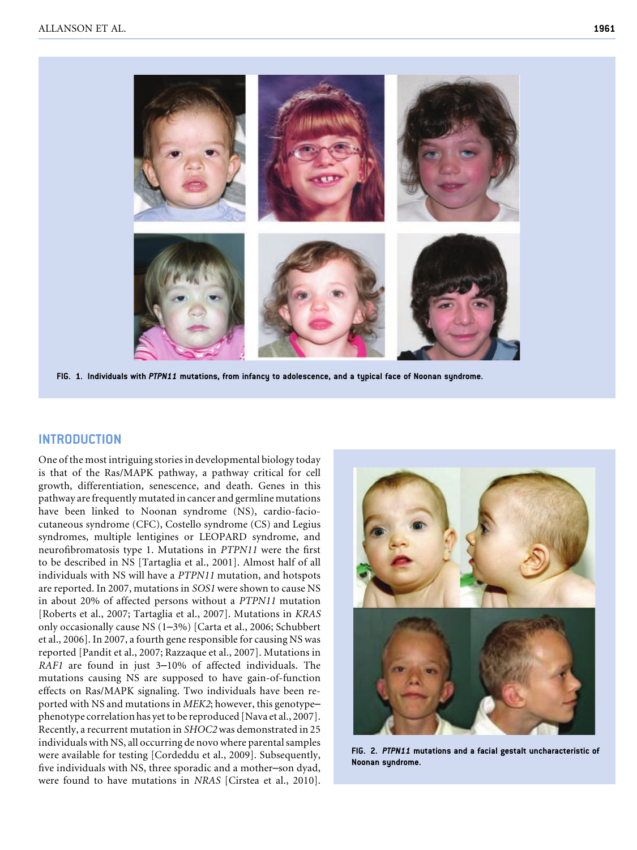

FIG. 1. Individuals with PTPN11 mutations, from infancy to adolescence, and a typical face of Noonan syndrome.

#### INTRODUCTION

One of the most intriguing stories in developmental biology today is that of the Ras/MAPK pathway, a pathway critical for cell growth, differentiation, senescence, and death. Genes in this pathway are frequently mutated in cancer and germline mutations have been linked to Noonan syndrome (NS), cardio-faciocutaneous syndrome (CFC), Costello syndrome (CS) and Legius syndromes, multiple lentigines or LEOPARD syndrome, and neurofibromatosis type 1. Mutations in PTPN11 were the first to be described in NS [Tartaglia et al., 2001]. Almost half of all individuals with NS will have a PTPN11 mutation, and hotspots are reported. In 2007, mutations in SOS1 were shown to cause NS in about 20% of affected persons without a PTPN11 mutation [Roberts et al., 2007; Tartaglia et al., 2007]. Mutations in KRAS only occasionally cause NS (1–3%) [Carta et al., 2006; Schubbert et al., 2006]. In 2007, a fourth gene responsible for causing NS was reported [Pandit et al., 2007; Razzaque et al., 2007]. Mutations in RAF1 are found in just 3–10% of affected individuals. The mutations causing NS are supposed to have gain-of-function effects on Ras/MAPK signaling. Two individuals have been reported with NS and mutations in MEK2; however, this genotype– phenotype correlation has yet to be reproduced [Nava et al., 2007]. Recently, a recurrent mutation in SHOC2 was demonstrated in 25 individuals with NS, all occurring de novo where parental samples were available for testing [Cordeddu et al., 2009]. Subsequently, five individuals with NS, three sporadic and a mother–son dyad, were found to have mutations in NRAS [Cirstea et al., 2010].



FIG. 2. PTPN11 mutations and a facial gestalt uncharacteristic of Noonan syndrome.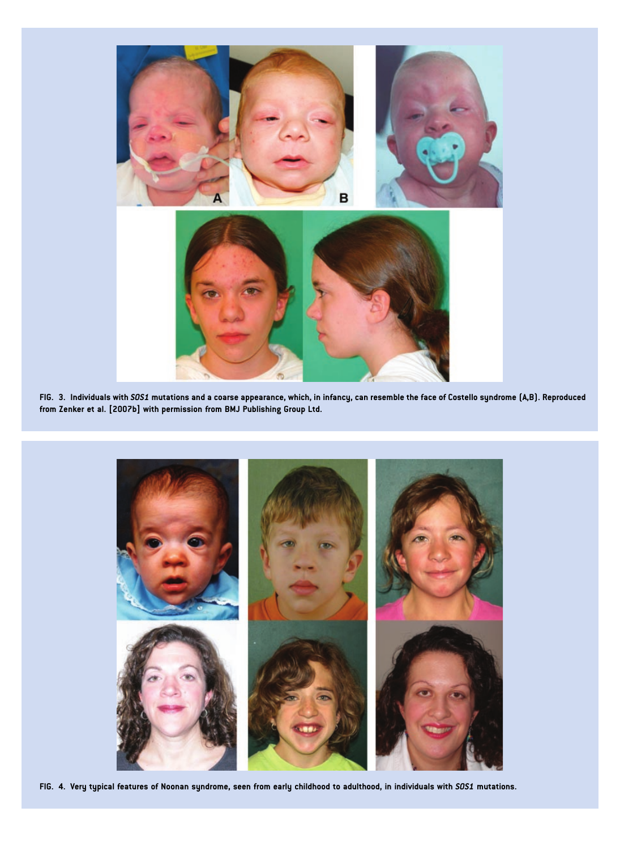

FIG. 3. Individuals with SOS1 mutations and a coarse appearance, which, in infancy, can resemble the face of Costello syndrome (A,B). Reproduced from Zenker et al. [2007b] with permission from BMJ Publishing Group Ltd.



FIG. 4. Very typical features of Noonan syndrome, seen from early childhood to adulthood, in individuals with SOS1 mutations.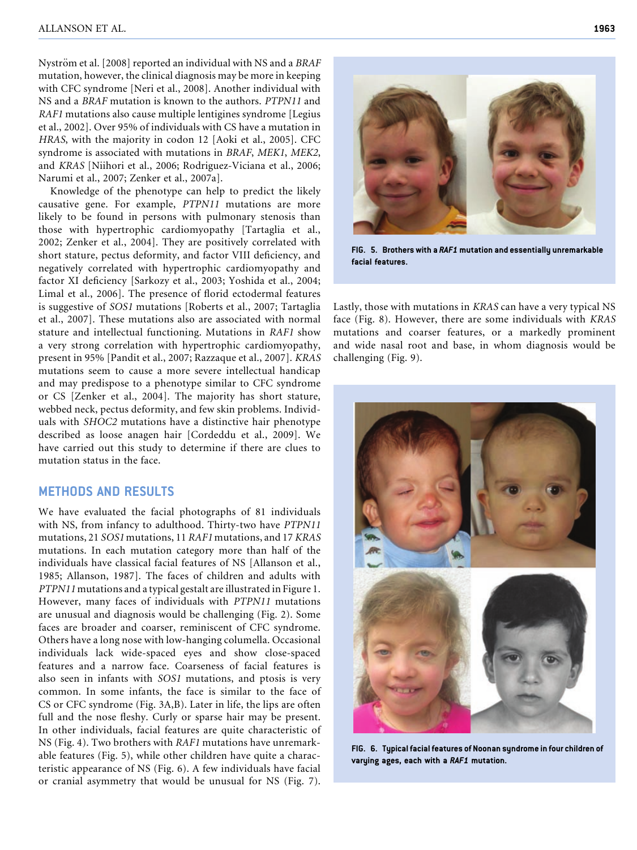Nyström et al. [2008] reported an individual with NS and a BRAF mutation, however, the clinical diagnosis may be more in keeping with CFC syndrome [Neri et al., 2008]. Another individual with NS and a BRAF mutation is known to the authors. PTPN11 and RAF1 mutations also cause multiple lentigines syndrome [Legius et al., 2002]. Over 95% of individuals with CS have a mutation in HRAS, with the majority in codon 12 [Aoki et al., 2005]. CFC syndrome is associated with mutations in BRAF, MEK1, MEK2, and KRAS [Niihori et al., 2006; Rodriguez-Viciana et al., 2006; Narumi et al., 2007; Zenker et al., 2007a].

Knowledge of the phenotype can help to predict the likely causative gene. For example, PTPN11 mutations are more likely to be found in persons with pulmonary stenosis than those with hypertrophic cardiomyopathy [Tartaglia et al., 2002; Zenker et al., 2004]. They are positively correlated with short stature, pectus deformity, and factor VIII deficiency, and negatively correlated with hypertrophic cardiomyopathy and factor XI deficiency [Sarkozy et al., 2003; Yoshida et al., 2004; Limal et al., 2006]. The presence of florid ectodermal features is suggestive of SOS1 mutations [Roberts et al., 2007; Tartaglia et al., 2007]. These mutations also are associated with normal stature and intellectual functioning. Mutations in RAF1 show a very strong correlation with hypertrophic cardiomyopathy, present in 95% [Pandit et al., 2007; Razzaque et al., 2007]. KRAS mutations seem to cause a more severe intellectual handicap and may predispose to a phenotype similar to CFC syndrome or CS [Zenker et al., 2004]. The majority has short stature, webbed neck, pectus deformity, and few skin problems. Individuals with SHOC2 mutations have a distinctive hair phenotype described as loose anagen hair [Cordeddu et al., 2009]. We have carried out this study to determine if there are clues to mutation status in the face.

#### METHODS AND RESULTS

We have evaluated the facial photographs of 81 individuals with NS, from infancy to adulthood. Thirty-two have PTPN11 mutations, 21 SOS1 mutations, 11 RAF1 mutations, and 17 KRAS mutations. In each mutation category more than half of the individuals have classical facial features of NS [Allanson et al., 1985; Allanson, 1987]. The faces of children and adults with PTPN11 mutations and a typical gestalt are illustrated in Figure 1. However, many faces of individuals with PTPN11 mutations are unusual and diagnosis would be challenging (Fig. 2). Some faces are broader and coarser, reminiscent of CFC syndrome. Others have a long nose with low-hanging columella. Occasional individuals lack wide-spaced eyes and show close-spaced features and a narrow face. Coarseness of facial features is also seen in infants with SOS1 mutations, and ptosis is very common. In some infants, the face is similar to the face of CS or CFC syndrome (Fig. 3A,B). Later in life, the lips are often full and the nose fleshy. Curly or sparse hair may be present. In other individuals, facial features are quite characteristic of NS (Fig. 4). Two brothers with RAF1 mutations have unremarkable features (Fig. 5), while other children have quite a characteristic appearance of NS (Fig. 6). A few individuals have facial or cranial asymmetry that would be unusual for NS (Fig. 7).



FIG. 5. Brothers with a RAF1 mutation and essentially unremarkable facial features.

Lastly, those with mutations in KRAS can have a very typical NS face (Fig. 8). However, there are some individuals with KRAS mutations and coarser features, or a markedly prominent and wide nasal root and base, in whom diagnosis would be challenging (Fig. 9).



FIG. 6. Typical facial features of Noonan syndrome in four children of varying ages, each with a RAF1 mutation.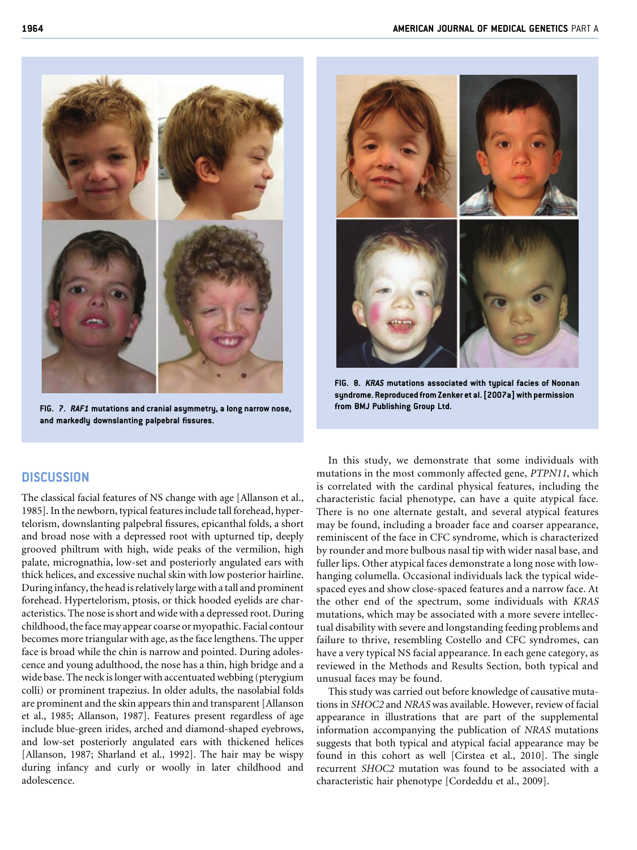

FIG. 7. RAF1 mutations and cranial asymmetry, a long narrow nose, and markedly downslanting palpebral fissures.



FIG. 8. KRAS mutations associated with typical facies of Noonan syndrome. Reproduced from Zenker et al. [2007a] with permission from BMJ Publishing Group Ltd.

## **DISCUSSION**

The classical facial features of NS change with age [Allanson et al., 1985]. In the newborn, typical features include tall forehead, hypertelorism, downslanting palpebral fissures, epicanthal folds, a short and broad nose with a depressed root with upturned tip, deeply grooved philtrum with high, wide peaks of the vermilion, high palate, micrognathia, low-set and posteriorly angulated ears with thick helices, and excessive nuchal skin with low posterior hairline. During infancy, the head is relatively large with a tall and prominent forehead. Hypertelorism, ptosis, or thick hooded eyelids are characteristics. The nose is short and wide with a depressed root. During childhood, the face may appear coarse or myopathic. Facial contour becomes more triangular with age, as the face lengthens. The upper face is broad while the chin is narrow and pointed. During adolescence and young adulthood, the nose has a thin, high bridge and a wide base. The neck is longer with accentuated webbing (pterygium colli) or prominent trapezius. In older adults, the nasolabial folds are prominent and the skin appears thin and transparent [Allanson et al., 1985; Allanson, 1987]. Features present regardless of age include blue-green irides, arched and diamond-shaped eyebrows, and low-set posteriorly angulated ears with thickened helices [Allanson, 1987; Sharland et al., 1992]. The hair may be wispy during infancy and curly or woolly in later childhood and adolescence.

In this study, we demonstrate that some individuals with mutations in the most commonly affected gene, PTPN11, which is correlated with the cardinal physical features, including the characteristic facial phenotype, can have a quite atypical face. There is no one alternate gestalt, and several atypical features may be found, including a broader face and coarser appearance, reminiscent of the face in CFC syndrome, which is characterized by rounder and more bulbous nasal tip with wider nasal base, and fuller lips. Other atypical faces demonstrate a long nose with lowhanging columella. Occasional individuals lack the typical widespaced eyes and show close-spaced features and a narrow face. At the other end of the spectrum, some individuals with KRAS mutations, which may be associated with a more severe intellectual disability with severe and longstanding feeding problems and failure to thrive, resembling Costello and CFC syndromes, can have a very typical NS facial appearance. In each gene category, as reviewed in the Methods and Results Section, both typical and unusual faces may be found.

This study was carried out before knowledge of causative mutations in SHOC2 and NRAS was available. However, review of facial appearance in illustrations that are part of the supplemental information accompanying the publication of NRAS mutations suggests that both typical and atypical facial appearance may be found in this cohort as well [Cirstea et al., 2010]. The single recurrent SHOC2 mutation was found to be associated with a characteristic hair phenotype [Cordeddu et al., 2009].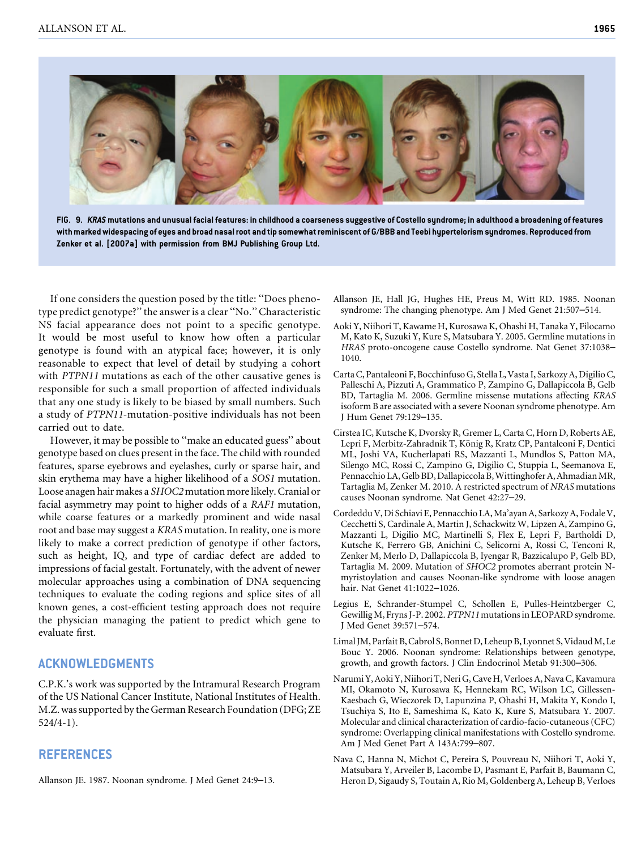

FIG. 9. KRAS mutations and unusual facial features: in childhood a coarseness suggestive of Costello syndrome; in adulthood a broadening of features with marked widespacing of eyes and broad nasal root and tip somewhat reminiscent of G/BBB and Teebi hypertelorism syndromes. Reproduced from Zenker et al. [2007a] with permission from BMJ Publishing Group Ltd.

If one considers the question posed by the title: ''Does phenotype predict genotype?'' the answer is a clear ''No.'' Characteristic NS facial appearance does not point to a specific genotype. It would be most useful to know how often a particular genotype is found with an atypical face; however, it is only reasonable to expect that level of detail by studying a cohort with PTPN11 mutations as each of the other causative genes is responsible for such a small proportion of affected individuals that any one study is likely to be biased by small numbers. Such a study of PTPN11-mutation-positive individuals has not been carried out to date.

However, it may be possible to ''make an educated guess'' about genotype based on clues present in the face. The child with rounded features, sparse eyebrows and eyelashes, curly or sparse hair, and skin erythema may have a higher likelihood of a SOS1 mutation. Loose anagen hair makes a SHOC2 mutation more likely. Cranial or facial asymmetry may point to higher odds of a RAF1 mutation, while coarse features or a markedly prominent and wide nasal root and base may suggest a KRAS mutation. In reality, one is more likely to make a correct prediction of genotype if other factors, such as height, IQ, and type of cardiac defect are added to impressions of facial gestalt. Fortunately, with the advent of newer molecular approaches using a combination of DNA sequencing techniques to evaluate the coding regions and splice sites of all known genes, a cost-efficient testing approach does not require the physician managing the patient to predict which gene to evaluate first.

#### ACKNOWLEDGMENTS

C.P.K.'s work was supported by the Intramural Research Program of the US National Cancer Institute, National Institutes of Health. M.Z. was supported by the German Research Foundation (DFG; ZE 524/4-1).

### **REFERENCES**

Allanson JE. 1987. Noonan syndrome. J Med Genet 24:9–13.

- Allanson JE, Hall JG, Hughes HE, Preus M, Witt RD. 1985. Noonan syndrome: The changing phenotype. Am J Med Genet 21:507–514.
- Aoki Y, Niihori T, Kawame H, Kurosawa K, Ohashi H, Tanaka Y, Filocamo M, Kato K, Suzuki Y, Kure S, Matsubara Y. 2005. Germline mutations in HRAS proto-oncogene cause Costello syndrome. Nat Genet 37:1038– 1040.
- Carta C, Pantaleoni F, Bocchinfuso G, Stella L, Vasta I, Sarkozy A, Digilio C, Palleschi A, Pizzuti A, Grammatico P, Zampino G, Dallapiccola B, Gelb BD, Tartaglia M. 2006. Germline missense mutations affecting KRAS isoform B are associated with a severe Noonan syndrome phenotype. Am J Hum Genet 79:129–135.
- Cirstea IC, Kutsche K, Dvorsky R, Gremer L, Carta C, Horn D, Roberts AE, Lepri F, Merbitz-Zahradnik T, König R, Kratz CP, Pantaleoni F, Dentici ML, Joshi VA, Kucherlapati RS, Mazzanti L, Mundlos S, Patton MA, Silengo MC, Rossi C, Zampino G, Digilio C, Stuppia L, Seemanova E, Pennacchio LA, Gelb BD, Dallapiccola B, Wittinghofer A, Ahmadian MR, Tartaglia M, Zenker M. 2010. A restricted spectrum of NRAS mutations causes Noonan syndrome. Nat Genet 42:27–29.
- Cordeddu V, Di Schiavi E, Pennacchio LA, Ma'ayan A, Sarkozy A, Fodale V, Cecchetti S, Cardinale A, Martin J, Schackwitz W, Lipzen A, Zampino G, Mazzanti L, Digilio MC, Martinelli S, Flex E, Lepri F, Bartholdi D, Kutsche K, Ferrero GB, Anichini C, Selicorni A, Rossi C, Tenconi R, Zenker M, Merlo D, Dallapiccola B, Iyengar R, Bazzicalupo P, Gelb BD, Tartaglia M. 2009. Mutation of SHOC2 promotes aberrant protein Nmyristoylation and causes Noonan-like syndrome with loose anagen hair. Nat Genet 41:1022–1026.
- Legius E, Schrander-Stumpel C, Schollen E, Pulles-Heintzberger C, Gewillig M, Fryns J-P. 2002. PTPN11 mutations in LEOPARD syndrome. J Med Genet 39:571–574.
- Limal JM, Parfait B, Cabrol S, Bonnet D, Leheup B, Lyonnet S, Vidaud M, Le Bouc Y. 2006. Noonan syndrome: Relationships between genotype, growth, and growth factors. J Clin Endocrinol Metab 91:300–306.
- Narumi Y, Aoki Y, Niihori T, Neri G, Cave H, Verloes A, Nava C, Kavamura MI, Okamoto N, Kurosawa K, Hennekam RC, Wilson LC, Gillessen-Kaesbach G, Wieczorek D, Lapunzina P, Ohashi H, Makita Y, Kondo I, Tsuchiya S, Ito E, Sameshima K, Kato K, Kure S, Matsubara Y. 2007. Molecular and clinical characterization of cardio-facio-cutaneous (CFC) syndrome: Overlapping clinical manifestations with Costello syndrome. Am J Med Genet Part A 143A:799–807.
- Nava C, Hanna N, Michot C, Pereira S, Pouvreau N, Niihori T, Aoki Y, Matsubara Y, Arveiler B, Lacombe D, Pasmant E, Parfait B, Baumann C, Heron D, Sigaudy S, Toutain A, Rio M, Goldenberg A, Leheup B, Verloes